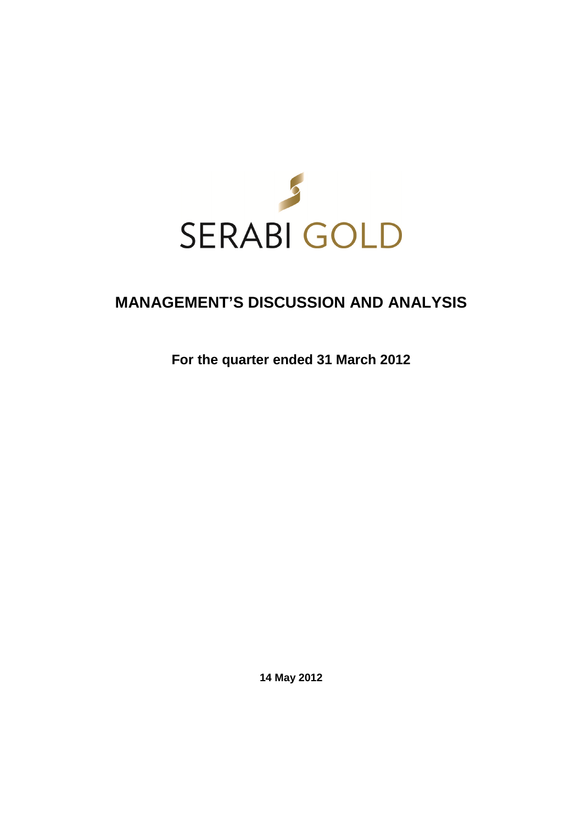

# **MANAGEMENT'S DISCUSSION AND ANALYSIS**

**For the quarter ended 31 March 2012** 

**14 May 2012**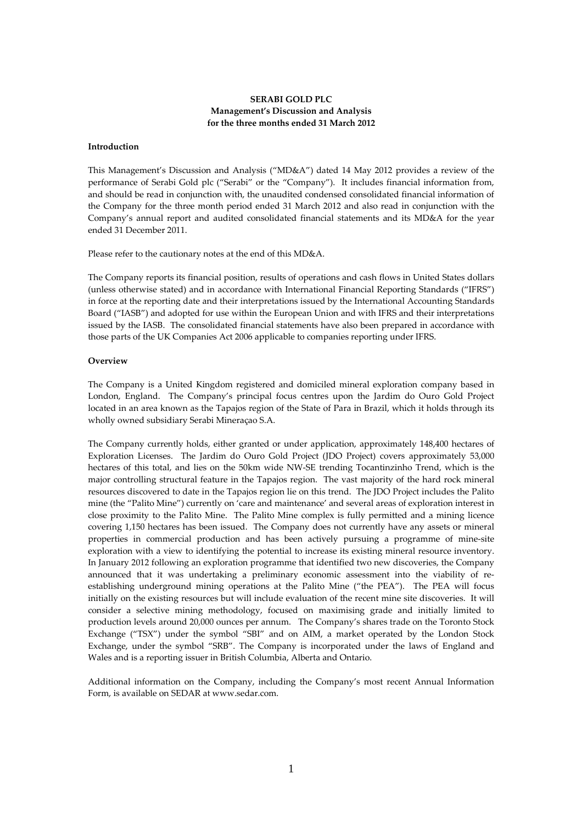# **SERABI GOLD PLC Management's Discussion and Analysis for the three months ended 31 March 2012**

# **Introduction**

This Management's Discussion and Analysis ("MD&A") dated 14 May 2012 provides a review of the performance of Serabi Gold plc ("Serabi" or the "Company"). It includes financial information from, and should be read in conjunction with, the unaudited condensed consolidated financial information of the Company for the three month period ended 31 March 2012 and also read in conjunction with the Company's annual report and audited consolidated financial statements and its MD&A for the year ended 31 December 2011.

Please refer to the cautionary notes at the end of this MD&A.

The Company reports its financial position, results of operations and cash flows in United States dollars (unless otherwise stated) and in accordance with International Financial Reporting Standards ("IFRS") in force at the reporting date and their interpretations issued by the International Accounting Standards Board ("IASB") and adopted for use within the European Union and with IFRS and their interpretations issued by the IASB. The consolidated financial statements have also been prepared in accordance with those parts of the UK Companies Act 2006 applicable to companies reporting under IFRS.

## **Overview**

The Company is a United Kingdom registered and domiciled mineral exploration company based in London, England. The Company's principal focus centres upon the Jardim do Ouro Gold Project located in an area known as the Tapajos region of the State of Para in Brazil, which it holds through its wholly owned subsidiary Serabi Mineraçao S.A.

The Company currently holds, either granted or under application, approximately 148,400 hectares of Exploration Licenses. The Jardim do Ouro Gold Project (JDO Project) covers approximately 53,000 hectares of this total, and lies on the 50km wide NW-SE trending Tocantinzinho Trend, which is the major controlling structural feature in the Tapajos region. The vast majority of the hard rock mineral resources discovered to date in the Tapajos region lie on this trend. The JDO Project includes the Palito mine (the "Palito Mine") currently on 'care and maintenance' and several areas of exploration interest in close proximity to the Palito Mine. The Palito Mine complex is fully permitted and a mining licence covering 1,150 hectares has been issued. The Company does not currently have any assets or mineral properties in commercial production and has been actively pursuing a programme of mine-site exploration with a view to identifying the potential to increase its existing mineral resource inventory. In January 2012 following an exploration programme that identified two new discoveries, the Company announced that it was undertaking a preliminary economic assessment into the viability of reestablishing underground mining operations at the Palito Mine ("the PEA"). The PEA will focus initially on the existing resources but will include evaluation of the recent mine site discoveries. It will consider a selective mining methodology, focused on maximising grade and initially limited to production levels around 20,000 ounces per annum. The Company's shares trade on the Toronto Stock Exchange ("TSX") under the symbol "SBI" and on AIM, a market operated by the London Stock Exchange, under the symbol "SRB". The Company is incorporated under the laws of England and Wales and is a reporting issuer in British Columbia, Alberta and Ontario.

Additional information on the Company, including the Company's most recent Annual Information Form, is available on SEDAR at www.sedar.com.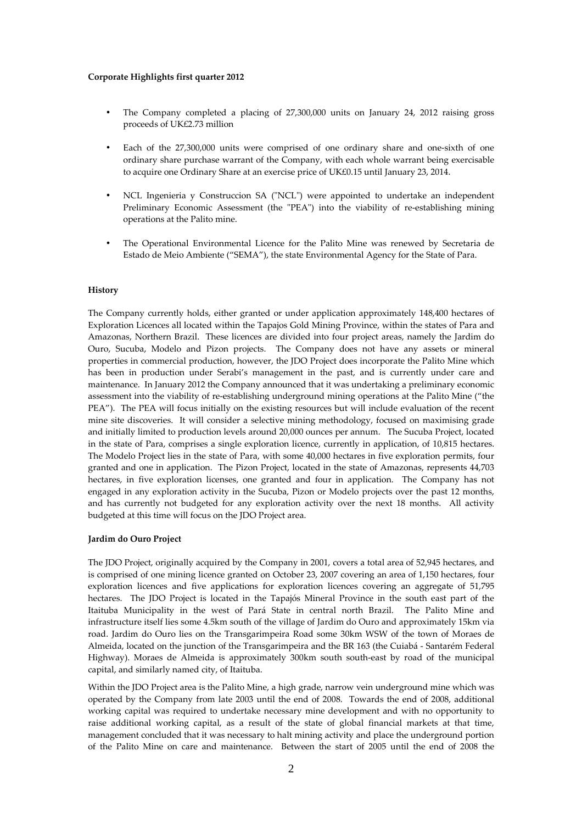## **Corporate Highlights first quarter 2012**

- The Company completed a placing of 27,300,000 units on January 24, 2012 raising gross proceeds of UK£2.73 million
- Each of the 27,300,000 units were comprised of one ordinary share and one-sixth of one ordinary share purchase warrant of the Company, with each whole warrant being exercisable to acquire one Ordinary Share at an exercise price of UK£0.15 until January 23, 2014.
- NCL Ingenieria y Construccion SA ("NCL") were appointed to undertake an independent Preliminary Economic Assessment (the "PEA") into the viability of re-establishing mining operations at the Palito mine.
- The Operational Environmental Licence for the Palito Mine was renewed by Secretaria de Estado de Meio Ambiente ("SEMA"), the state Environmental Agency for the State of Para.

#### **History**

The Company currently holds, either granted or under application approximately 148,400 hectares of Exploration Licences all located within the Tapajos Gold Mining Province, within the states of Para and Amazonas, Northern Brazil. These licences are divided into four project areas, namely the Jardim do Ouro, Sucuba, Modelo and Pizon projects. The Company does not have any assets or mineral properties in commercial production, however, the JDO Project does incorporate the Palito Mine which has been in production under Serabi's management in the past, and is currently under care and maintenance. In January 2012 the Company announced that it was undertaking a preliminary economic assessment into the viability of re-establishing underground mining operations at the Palito Mine ("the PEA"). The PEA will focus initially on the existing resources but will include evaluation of the recent mine site discoveries. It will consider a selective mining methodology, focused on maximising grade and initially limited to production levels around 20,000 ounces per annum. The Sucuba Project, located in the state of Para, comprises a single exploration licence, currently in application, of 10,815 hectares. The Modelo Project lies in the state of Para, with some 40,000 hectares in five exploration permits, four granted and one in application. The Pizon Project, located in the state of Amazonas, represents 44,703 hectares, in five exploration licenses, one granted and four in application. The Company has not engaged in any exploration activity in the Sucuba, Pizon or Modelo projects over the past 12 months, and has currently not budgeted for any exploration activity over the next 18 months. All activity budgeted at this time will focus on the JDO Project area.

#### **Jardim do Ouro Project**

The JDO Project, originally acquired by the Company in 2001, covers a total area of 52,945 hectares, and is comprised of one mining licence granted on October 23, 2007 covering an area of 1,150 hectares, four exploration licences and five applications for exploration licences covering an aggregate of 51,795 hectares. The JDO Project is located in the Tapajós Mineral Province in the south east part of the Itaituba Municipality in the west of Pará State in central north Brazil. The Palito Mine and infrastructure itself lies some 4.5km south of the village of Jardim do Ouro and approximately 15km via road. Jardim do Ouro lies on the Transgarimpeira Road some 30km WSW of the town of Moraes de Almeida, located on the junction of the Transgarimpeira and the BR 163 (the Cuiabá - Santarém Federal Highway). Moraes de Almeida is approximately 300km south south-east by road of the municipal capital, and similarly named city, of Itaituba.

Within the JDO Project area is the Palito Mine, a high grade, narrow vein underground mine which was operated by the Company from late 2003 until the end of 2008. Towards the end of 2008, additional working capital was required to undertake necessary mine development and with no opportunity to raise additional working capital, as a result of the state of global financial markets at that time, management concluded that it was necessary to halt mining activity and place the underground portion of the Palito Mine on care and maintenance. Between the start of 2005 until the end of 2008 the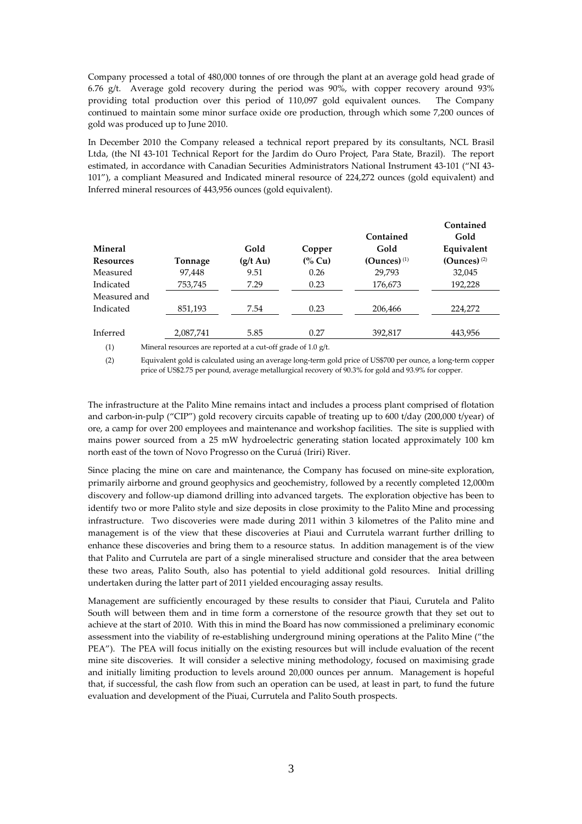Company processed a total of 480,000 tonnes of ore through the plant at an average gold head grade of 6.76 g/t. Average gold recovery during the period was 90%, with copper recovery around 93% providing total production over this period of 110,097 gold equivalent ounces. The Company continued to maintain some minor surface oxide ore production, through which some 7,200 ounces of gold was produced up to June 2010.

In December 2010 the Company released a technical report prepared by its consultants, NCL Brasil Ltda, (the NI 43-101 Technical Report for the Jardim do Ouro Project, Para State, Brazil). The report estimated, in accordance with Canadian Securities Administrators National Instrument 43-101 ("NI 43- 101"), a compliant Measured and Indicated mineral resource of 224,272 ounces (gold equivalent) and Inferred mineral resources of 443,956 ounces (gold equivalent).

|                  |           |                    |                  |                           | Contained                 |
|------------------|-----------|--------------------|------------------|---------------------------|---------------------------|
|                  |           |                    |                  | Contained                 | Gold                      |
| <b>Mineral</b>   |           | Gold               | Copper           | Gold                      | Equivalent                |
| <b>Resources</b> | Tonnage   | $(g/t \text{ Au})$ | $\frac{6}{6}$ Cu | $(Qunces)$ <sup>(1)</sup> | $(Qunces)$ <sup>(2)</sup> |
| Measured         | 97,448    | 9.51               | 0.26             | 29,793                    | 32,045                    |
| Indicated        | 753,745   | 7.29               | 0.23             | 176,673                   | 192,228                   |
| Measured and     |           |                    |                  |                           |                           |
| Indicated        | 851,193   | 7.54               | 0.23             | 206,466                   | 224,272                   |
|                  |           |                    |                  |                           |                           |
| Inferred         | 2,087,741 | 5.85               | 0.27             | 392,817                   | 443,956                   |
|                  |           |                    |                  |                           |                           |

(1) Mineral resources are reported at a cut-off grade of 1.0 g/t.

(2) Equivalent gold is calculated using an average long-term gold price of US\$700 per ounce, a long-term copper price of US\$2.75 per pound, average metallurgical recovery of 90.3% for gold and 93.9% for copper.

The infrastructure at the Palito Mine remains intact and includes a process plant comprised of flotation and carbon-in-pulp ("CIP") gold recovery circuits capable of treating up to 600 t/day (200,000 t/year) of ore, a camp for over 200 employees and maintenance and workshop facilities. The site is supplied with mains power sourced from a 25 mW hydroelectric generating station located approximately 100 km north east of the town of Novo Progresso on the Curuá (Iriri) River.

Since placing the mine on care and maintenance, the Company has focused on mine-site exploration, primarily airborne and ground geophysics and geochemistry, followed by a recently completed 12,000m discovery and follow-up diamond drilling into advanced targets. The exploration objective has been to identify two or more Palito style and size deposits in close proximity to the Palito Mine and processing infrastructure. Two discoveries were made during 2011 within 3 kilometres of the Palito mine and management is of the view that these discoveries at Piaui and Currutela warrant further drilling to enhance these discoveries and bring them to a resource status. In addition management is of the view that Palito and Currutela are part of a single mineralised structure and consider that the area between these two areas, Palito South, also has potential to yield additional gold resources. Initial drilling undertaken during the latter part of 2011 yielded encouraging assay results.

Management are sufficiently encouraged by these results to consider that Piaui, Curutela and Palito South will between them and in time form a cornerstone of the resource growth that they set out to achieve at the start of 2010. With this in mind the Board has now commissioned a preliminary economic assessment into the viability of re-establishing underground mining operations at the Palito Mine ("the PEA"). The PEA will focus initially on the existing resources but will include evaluation of the recent mine site discoveries. It will consider a selective mining methodology, focused on maximising grade and initially limiting production to levels around 20,000 ounces per annum. Management is hopeful that, if successful, the cash flow from such an operation can be used, at least in part, to fund the future evaluation and development of the Piuai, Currutela and Palito South prospects.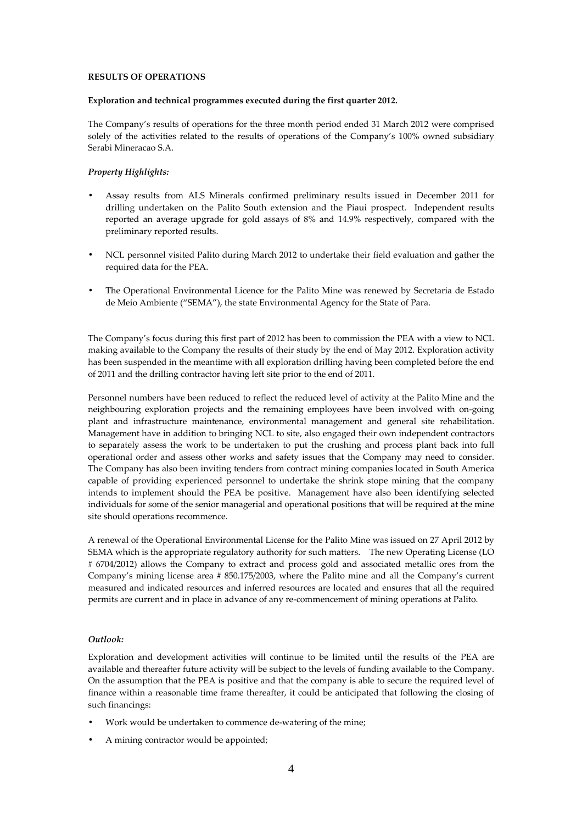## **RESULTS OF OPERATIONS**

## **Exploration and technical programmes executed during the first quarter 2012.**

The Company's results of operations for the three month period ended 31 March 2012 were comprised solely of the activities related to the results of operations of the Company's 100% owned subsidiary Serabi Mineracao S.A.

# *Property Highlights:*

- Assay results from ALS Minerals confirmed preliminary results issued in December 2011 for drilling undertaken on the Palito South extension and the Piaui prospect. Independent results reported an average upgrade for gold assays of 8% and 14.9% respectively, compared with the preliminary reported results.
- NCL personnel visited Palito during March 2012 to undertake their field evaluation and gather the required data for the PEA.
- The Operational Environmental Licence for the Palito Mine was renewed by Secretaria de Estado de Meio Ambiente ("SEMA"), the state Environmental Agency for the State of Para.

The Company's focus during this first part of 2012 has been to commission the PEA with a view to NCL making available to the Company the results of their study by the end of May 2012. Exploration activity has been suspended in the meantime with all exploration drilling having been completed before the end of 2011 and the drilling contractor having left site prior to the end of 2011.

Personnel numbers have been reduced to reflect the reduced level of activity at the Palito Mine and the neighbouring exploration projects and the remaining employees have been involved with on-going plant and infrastructure maintenance, environmental management and general site rehabilitation. Management have in addition to bringing NCL to site, also engaged their own independent contractors to separately assess the work to be undertaken to put the crushing and process plant back into full operational order and assess other works and safety issues that the Company may need to consider. The Company has also been inviting tenders from contract mining companies located in South America capable of providing experienced personnel to undertake the shrink stope mining that the company intends to implement should the PEA be positive. Management have also been identifying selected individuals for some of the senior managerial and operational positions that will be required at the mine site should operations recommence.

A renewal of the Operational Environmental License for the Palito Mine was issued on 27 April 2012 by SEMA which is the appropriate regulatory authority for such matters. The new Operating License (LO # 6704/2012) allows the Company to extract and process gold and associated metallic ores from the Company's mining license area # 850.175/2003, where the Palito mine and all the Company's current measured and indicated resources and inferred resources are located and ensures that all the required permits are current and in place in advance of any re-commencement of mining operations at Palito.

# *Outlook:*

Exploration and development activities will continue to be limited until the results of the PEA are available and thereafter future activity will be subject to the levels of funding available to the Company. On the assumption that the PEA is positive and that the company is able to secure the required level of finance within a reasonable time frame thereafter, it could be anticipated that following the closing of such financings:

- Work would be undertaken to commence de-watering of the mine;
- A mining contractor would be appointed;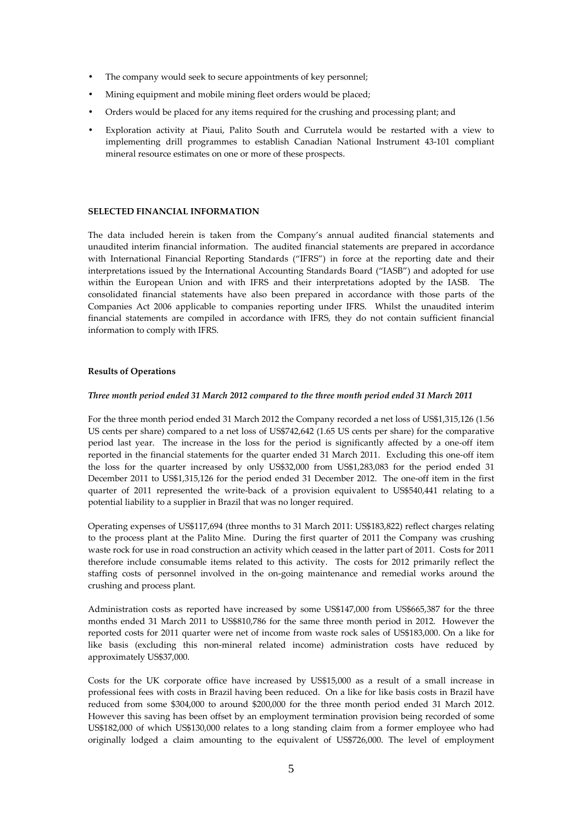- The company would seek to secure appointments of key personnel;
- Mining equipment and mobile mining fleet orders would be placed;
- Orders would be placed for any items required for the crushing and processing plant; and
- Exploration activity at Piaui, Palito South and Currutela would be restarted with a view to implementing drill programmes to establish Canadian National Instrument 43-101 compliant mineral resource estimates on one or more of these prospects.

# **SELECTED FINANCIAL INFORMATION**

The data included herein is taken from the Company's annual audited financial statements and unaudited interim financial information. The audited financial statements are prepared in accordance with International Financial Reporting Standards ("IFRS") in force at the reporting date and their interpretations issued by the International Accounting Standards Board ("IASB") and adopted for use within the European Union and with IFRS and their interpretations adopted by the IASB. The consolidated financial statements have also been prepared in accordance with those parts of the Companies Act 2006 applicable to companies reporting under IFRS. Whilst the unaudited interim financial statements are compiled in accordance with IFRS, they do not contain sufficient financial information to comply with IFRS.

# **Results of Operations**

#### *Three month period ended 31 March 2012 compared to the three month period ended 31 March 2011*

For the three month period ended 31 March 2012 the Company recorded a net loss of US\$1,315,126 (1.56 US cents per share) compared to a net loss of US\$742,642 (1.65 US cents per share) for the comparative period last year. The increase in the loss for the period is significantly affected by a one-off item reported in the financial statements for the quarter ended 31 March 2011. Excluding this one-off item the loss for the quarter increased by only US\$32,000 from US\$1,283,083 for the period ended 31 December 2011 to US\$1,315,126 for the period ended 31 December 2012. The one-off item in the first quarter of 2011 represented the write-back of a provision equivalent to US\$540,441 relating to a potential liability to a supplier in Brazil that was no longer required.

Operating expenses of US\$117,694 (three months to 31 March 2011: US\$183,822) reflect charges relating to the process plant at the Palito Mine. During the first quarter of 2011 the Company was crushing waste rock for use in road construction an activity which ceased in the latter part of 2011. Costs for 2011 therefore include consumable items related to this activity. The costs for 2012 primarily reflect the staffing costs of personnel involved in the on-going maintenance and remedial works around the crushing and process plant.

Administration costs as reported have increased by some US\$147,000 from US\$665,387 for the three months ended 31 March 2011 to US\$810,786 for the same three month period in 2012. However the reported costs for 2011 quarter were net of income from waste rock sales of US\$183,000. On a like for like basis (excluding this non-mineral related income) administration costs have reduced by approximately US\$37,000.

Costs for the UK corporate office have increased by US\$15,000 as a result of a small increase in professional fees with costs in Brazil having been reduced. On a like for like basis costs in Brazil have reduced from some \$304,000 to around \$200,000 for the three month period ended 31 March 2012. However this saving has been offset by an employment termination provision being recorded of some US\$182,000 of which US\$130,000 relates to a long standing claim from a former employee who had originally lodged a claim amounting to the equivalent of US\$726,000. The level of employment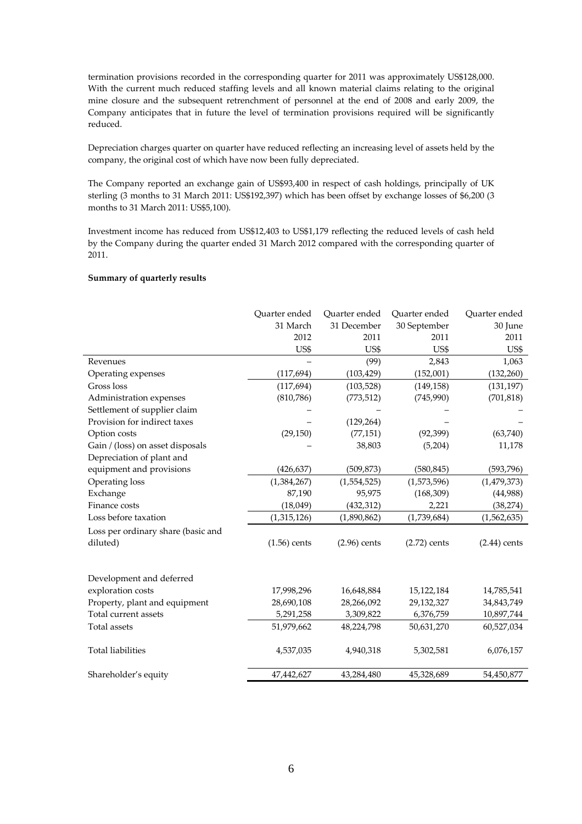termination provisions recorded in the corresponding quarter for 2011 was approximately US\$128,000. With the current much reduced staffing levels and all known material claims relating to the original mine closure and the subsequent retrenchment of personnel at the end of 2008 and early 2009, the Company anticipates that in future the level of termination provisions required will be significantly reduced.

Depreciation charges quarter on quarter have reduced reflecting an increasing level of assets held by the company, the original cost of which have now been fully depreciated.

The Company reported an exchange gain of US\$93,400 in respect of cash holdings, principally of UK sterling (3 months to 31 March 2011: US\$192,397) which has been offset by exchange losses of \$6,200 (3 months to 31 March 2011: US\$5,100).

Investment income has reduced from US\$12,403 to US\$1,179 reflecting the reduced levels of cash held by the Company during the quarter ended 31 March 2012 compared with the corresponding quarter of 2011.

# **Summary of quarterly results**

|                                    | Quarter ended  | Quarter ended  | Quarter ended  | Quarter ended  |
|------------------------------------|----------------|----------------|----------------|----------------|
|                                    | 31 March       | 31 December    | 30 September   | 30 June        |
|                                    | 2012           | 2011           | 2011           | 2011           |
|                                    | US\$           | US\$           | US\$           | US\$           |
| Revenues                           |                | (99)           | 2,843          | 1,063          |
| Operating expenses                 | (117, 694)     | (103, 429)     | (152,001)      | (132, 260)     |
| Gross loss                         | (117, 694)     | (103, 528)     | (149, 158)     | (131, 197)     |
| Administration expenses            | (810,786)      | (773, 512)     | (745,990)      | (701, 818)     |
| Settlement of supplier claim       |                |                |                |                |
| Provision for indirect taxes       |                | (129, 264)     |                |                |
| Option costs                       | (29, 150)      | (77, 151)      | (92, 399)      | (63,740)       |
| Gain / (loss) on asset disposals   |                | 38,803         | (5,204)        | 11,178         |
| Depreciation of plant and          |                |                |                |                |
| equipment and provisions           | (426, 637)     | (509, 873)     | (580, 845)     | (593, 796)     |
| Operating loss                     | (1,384,267)    | (1,554,525)    | (1,573,596)    | (1, 479, 373)  |
| Exchange                           | 87,190         | 95,975         | (168, 309)     | (44,988)       |
| Finance costs                      | (18,049)       | (432, 312)     | 2,221          | (38, 274)      |
| Loss before taxation               | (1,315,126)    | (1,890,862)    | (1,739,684)    | (1,562,635)    |
| Loss per ordinary share (basic and |                |                |                |                |
| diluted)                           | $(1.56)$ cents | $(2.96)$ cents | $(2.72)$ cents | $(2.44)$ cents |
| Development and deferred           |                |                |                |                |
| exploration costs                  | 17,998,296     | 16,648,884     | 15,122,184     | 14,785,541     |
| Property, plant and equipment      | 28,690,108     | 28,266,092     | 29,132,327     | 34,843,749     |
| Total current assets               | 5,291,258      | 3,309,822      | 6,376,759      | 10,897,744     |
| Total assets                       | 51,979,662     | 48,224,798     | 50,631,270     | 60,527,034     |
|                                    |                |                |                |                |
| <b>Total liabilities</b>           | 4,537,035      | 4,940,318      | 5,302,581      | 6,076,157      |
| Shareholder's equity               | 47,442,627     | 43,284,480     | 45,328,689     | 54,450,877     |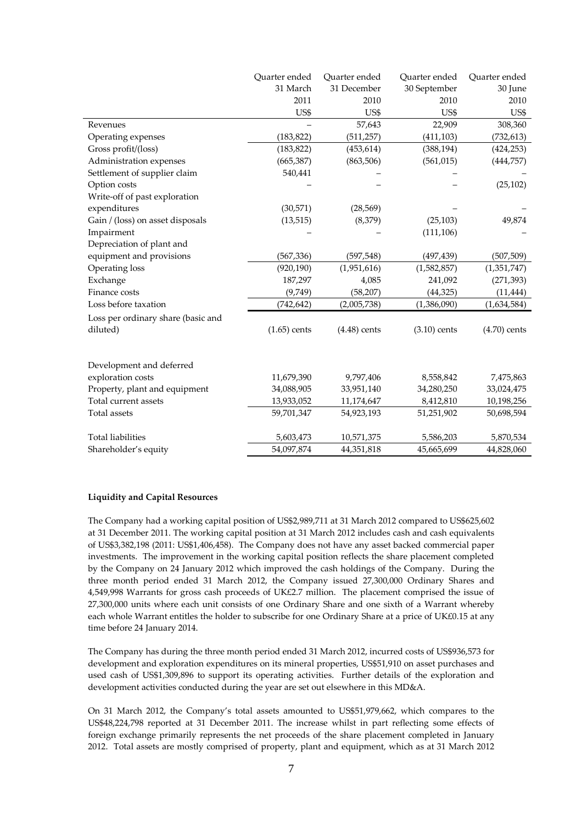|                                    | Ouarter ended  | Quarter ended  | Quarter ended  | Quarter ended  |
|------------------------------------|----------------|----------------|----------------|----------------|
|                                    | 31 March       | 31 December    | 30 September   | 30 June        |
|                                    | 2011           | 2010           | 2010           | 2010           |
|                                    | US\$           | US\$           | US\$           | US\$           |
| Revenues                           |                | 57,643         | 22,909         | 308,360        |
| Operating expenses                 | (183, 822)     | (511, 257)     | (411, 103)     | (732, 613)     |
| Gross profit/(loss)                | (183, 822)     | (453, 614)     | (388, 194)     | (424, 253)     |
| Administration expenses            | (665, 387)     | (863, 506)     | (561, 015)     | (444, 757)     |
| Settlement of supplier claim       | 540,441        |                |                |                |
| Option costs                       |                |                |                | (25, 102)      |
| Write-off of past exploration      |                |                |                |                |
| expenditures                       | (30,571)       | (28, 569)      |                |                |
| Gain / (loss) on asset disposals   | (13, 515)      | (8,379)        | (25, 103)      | 49,874         |
| Impairment                         |                |                | (111, 106)     |                |
| Depreciation of plant and          |                |                |                |                |
| equipment and provisions           | (567, 336)     | (597, 548)     | (497, 439)     | (507, 509)     |
| Operating loss                     | (920, 190)     | (1,951,616)    | (1,582,857)    | (1,351,747)    |
| Exchange                           | 187,297        | 4,085          | 241,092        | (271, 393)     |
| Finance costs                      | (9,749)        | (58, 207)      | (44, 325)      | (11, 444)      |
| Loss before taxation               | (742, 642)     | (2,005,738)    | (1,386,090)    | (1,634,584)    |
| Loss per ordinary share (basic and |                |                |                |                |
| diluted)                           | $(1.65)$ cents | $(4.48)$ cents | $(3.10)$ cents | $(4.70)$ cents |
|                                    |                |                |                |                |
| Development and deferred           |                |                |                |                |
| exploration costs                  | 11,679,390     | 9,797,406      | 8,558,842      | 7,475,863      |
| Property, plant and equipment      | 34,088,905     | 33,951,140     | 34,280,250     | 33,024,475     |
| Total current assets               | 13,933,052     | 11,174,647     | 8,412,810      | 10,198,256     |
| <b>Total</b> assets                | 59,701,347     | 54,923,193     | 51,251,902     | 50,698,594     |
| <b>Total liabilities</b>           | 5,603,473      | 10,571,375     | 5,586,203      | 5,870,534      |
| Shareholder's equity               | 54,097,874     | 44,351,818     | 45,665,699     | 44,828,060     |

# **Liquidity and Capital Resources**

The Company had a working capital position of US\$2,989,711 at 31 March 2012 compared to US\$625,602 at 31 December 2011. The working capital position at 31 March 2012 includes cash and cash equivalents of US\$3,382,198 (2011: US\$1,406,458). The Company does not have any asset backed commercial paper investments. The improvement in the working capital position reflects the share placement completed by the Company on 24 January 2012 which improved the cash holdings of the Company. During the three month period ended 31 March 2012, the Company issued 27,300,000 Ordinary Shares and 4,549,998 Warrants for gross cash proceeds of UK£2.7 million. The placement comprised the issue of 27,300,000 units where each unit consists of one Ordinary Share and one sixth of a Warrant whereby each whole Warrant entitles the holder to subscribe for one Ordinary Share at a price of UK£0.15 at any time before 24 January 2014.

The Company has during the three month period ended 31 March 2012, incurred costs of US\$936,573 for development and exploration expenditures on its mineral properties, US\$51,910 on asset purchases and used cash of US\$1,309,896 to support its operating activities. Further details of the exploration and development activities conducted during the year are set out elsewhere in this MD&A.

On 31 March 2012, the Company's total assets amounted to US\$51,979,662, which compares to the US\$48,224,798 reported at 31 December 2011. The increase whilst in part reflecting some effects of foreign exchange primarily represents the net proceeds of the share placement completed in January 2012. Total assets are mostly comprised of property, plant and equipment, which as at 31 March 2012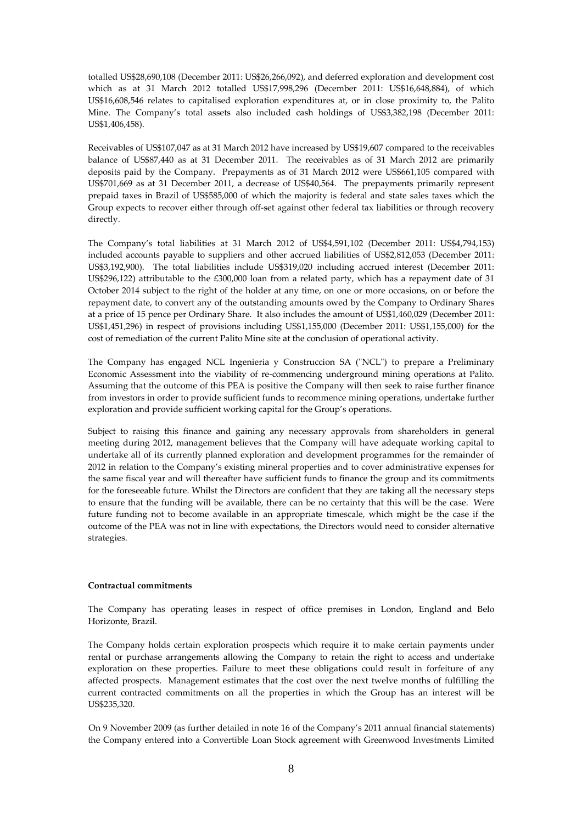totalled US\$28,690,108 (December 2011: US\$26,266,092), and deferred exploration and development cost which as at 31 March 2012 totalled US\$17,998,296 (December 2011: US\$16,648,884), of which US\$16,608,546 relates to capitalised exploration expenditures at, or in close proximity to, the Palito Mine. The Company's total assets also included cash holdings of US\$3,382,198 (December 2011: US\$1,406,458).

Receivables of US\$107,047 as at 31 March 2012 have increased by US\$19,607 compared to the receivables balance of US\$87,440 as at 31 December 2011. The receivables as of 31 March 2012 are primarily deposits paid by the Company. Prepayments as of 31 March 2012 were US\$661,105 compared with US\$701,669 as at 31 December 2011, a decrease of US\$40,564. The prepayments primarily represent prepaid taxes in Brazil of US\$585,000 of which the majority is federal and state sales taxes which the Group expects to recover either through off-set against other federal tax liabilities or through recovery directly.

The Company's total liabilities at 31 March 2012 of US\$4,591,102 (December 2011: US\$4,794,153) included accounts payable to suppliers and other accrued liabilities of US\$2,812,053 (December 2011: US\$3,192,900). The total liabilities include US\$319,020 including accrued interest (December 2011: US\$296,122) attributable to the £300,000 loan from a related party, which has a repayment date of 31 October 2014 subject to the right of the holder at any time, on one or more occasions, on or before the repayment date, to convert any of the outstanding amounts owed by the Company to Ordinary Shares at a price of 15 pence per Ordinary Share. It also includes the amount of US\$1,460,029 (December 2011: US\$1,451,296) in respect of provisions including US\$1,155,000 (December 2011: US\$1,155,000) for the cost of remediation of the current Palito Mine site at the conclusion of operational activity.

The Company has engaged NCL Ingenieria y Construccion SA ("NCL") to prepare a Preliminary Economic Assessment into the viability of re-commencing underground mining operations at Palito. Assuming that the outcome of this PEA is positive the Company will then seek to raise further finance from investors in order to provide sufficient funds to recommence mining operations, undertake further exploration and provide sufficient working capital for the Group's operations.

Subject to raising this finance and gaining any necessary approvals from shareholders in general meeting during 2012, management believes that the Company will have adequate working capital to undertake all of its currently planned exploration and development programmes for the remainder of 2012 in relation to the Company's existing mineral properties and to cover administrative expenses for the same fiscal year and will thereafter have sufficient funds to finance the group and its commitments for the foreseeable future. Whilst the Directors are confident that they are taking all the necessary steps to ensure that the funding will be available, there can be no certainty that this will be the case. Were future funding not to become available in an appropriate timescale, which might be the case if the outcome of the PEA was not in line with expectations, the Directors would need to consider alternative strategies.

## **Contractual commitments**

The Company has operating leases in respect of office premises in London, England and Belo Horizonte, Brazil.

The Company holds certain exploration prospects which require it to make certain payments under rental or purchase arrangements allowing the Company to retain the right to access and undertake exploration on these properties. Failure to meet these obligations could result in forfeiture of any affected prospects. Management estimates that the cost over the next twelve months of fulfilling the current contracted commitments on all the properties in which the Group has an interest will be US\$235,320.

On 9 November 2009 (as further detailed in note 16 of the Company's 2011 annual financial statements) the Company entered into a Convertible Loan Stock agreement with Greenwood Investments Limited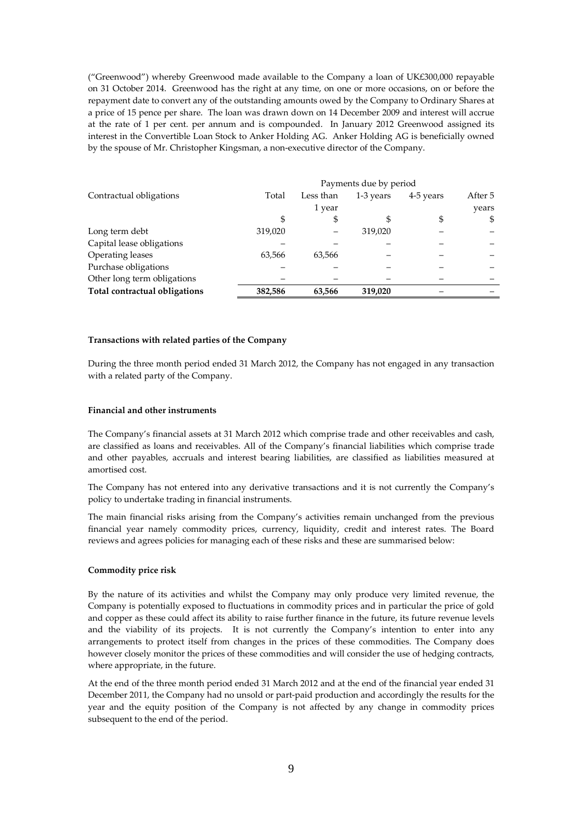("Greenwood") whereby Greenwood made available to the Company a loan of UK£300,000 repayable on 31 October 2014. Greenwood has the right at any time, on one or more occasions, on or before the repayment date to convert any of the outstanding amounts owed by the Company to Ordinary Shares at a price of 15 pence per share. The loan was drawn down on 14 December 2009 and interest will accrue at the rate of 1 per cent. per annum and is compounded. In January 2012 Greenwood assigned its interest in the Convertible Loan Stock to Anker Holding AG. Anker Holding AG is beneficially owned by the spouse of Mr. Christopher Kingsman, a non-executive director of the Company.

|                               | Payments due by period |           |           |           |         |
|-------------------------------|------------------------|-----------|-----------|-----------|---------|
| Contractual obligations       | Total                  | Less than | 1-3 years | 4-5 years | After 5 |
|                               |                        | 1 year    |           |           | years   |
|                               | S                      | S         |           | \$        | \$      |
| Long term debt                | 319,020                |           | 319,020   |           |         |
| Capital lease obligations     |                        |           |           |           |         |
| Operating leases              | 63,566                 | 63,566    |           |           |         |
| Purchase obligations          |                        |           |           |           |         |
| Other long term obligations   |                        |           |           |           |         |
| Total contractual obligations | 382,586                | 63,566    | 319,020   |           |         |

## **Transactions with related parties of the Company**

During the three month period ended 31 March 2012, the Company has not engaged in any transaction with a related party of the Company.

#### **Financial and other instruments**

The Company's financial assets at 31 March 2012 which comprise trade and other receivables and cash, are classified as loans and receivables. All of the Company's financial liabilities which comprise trade and other payables, accruals and interest bearing liabilities, are classified as liabilities measured at amortised cost.

The Company has not entered into any derivative transactions and it is not currently the Company's policy to undertake trading in financial instruments.

The main financial risks arising from the Company's activities remain unchanged from the previous financial year namely commodity prices, currency, liquidity, credit and interest rates. The Board reviews and agrees policies for managing each of these risks and these are summarised below:

#### **Commodity price risk**

By the nature of its activities and whilst the Company may only produce very limited revenue, the Company is potentially exposed to fluctuations in commodity prices and in particular the price of gold and copper as these could affect its ability to raise further finance in the future, its future revenue levels and the viability of its projects. It is not currently the Company's intention to enter into any arrangements to protect itself from changes in the prices of these commodities. The Company does however closely monitor the prices of these commodities and will consider the use of hedging contracts, where appropriate, in the future.

At the end of the three month period ended 31 March 2012 and at the end of the financial year ended 31 December 2011, the Company had no unsold or part-paid production and accordingly the results for the year and the equity position of the Company is not affected by any change in commodity prices subsequent to the end of the period.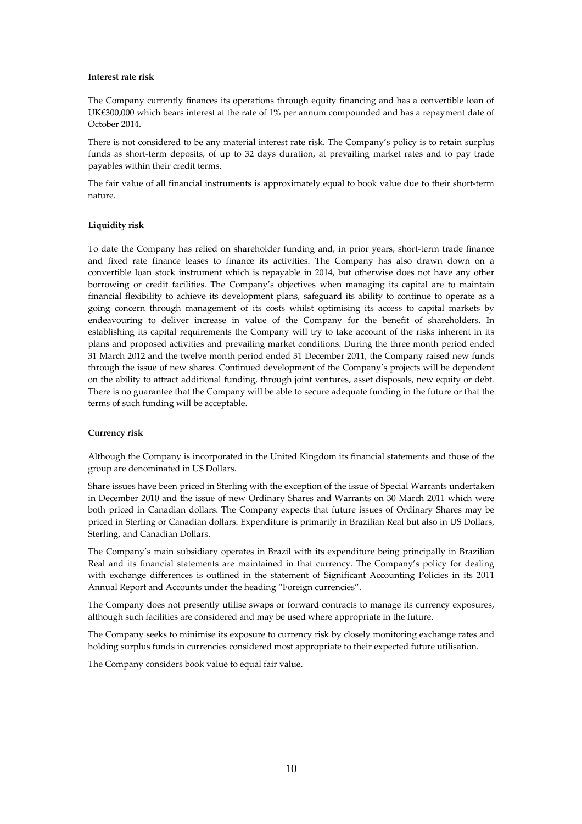## **Interest rate risk**

The Company currently finances its operations through equity financing and has a convertible loan of UK£300,000 which bears interest at the rate of 1% per annum compounded and has a repayment date of October 2014.

There is not considered to be any material interest rate risk. The Company's policy is to retain surplus funds as short-term deposits, of up to 32 days duration, at prevailing market rates and to pay trade payables within their credit terms.

The fair value of all financial instruments is approximately equal to book value due to their short-term nature.

## **Liquidity risk**

To date the Company has relied on shareholder funding and, in prior years, short-term trade finance and fixed rate finance leases to finance its activities. The Company has also drawn down on a convertible loan stock instrument which is repayable in 2014, but otherwise does not have any other borrowing or credit facilities. The Company's objectives when managing its capital are to maintain financial flexibility to achieve its development plans, safeguard its ability to continue to operate as a going concern through management of its costs whilst optimising its access to capital markets by endeavouring to deliver increase in value of the Company for the benefit of shareholders. In establishing its capital requirements the Company will try to take account of the risks inherent in its plans and proposed activities and prevailing market conditions. During the three month period ended 31 March 2012 and the twelve month period ended 31 December 2011, the Company raised new funds through the issue of new shares. Continued development of the Company's projects will be dependent on the ability to attract additional funding, through joint ventures, asset disposals, new equity or debt. There is no guarantee that the Company will be able to secure adequate funding in the future or that the terms of such funding will be acceptable.

#### **Currency risk**

Although the Company is incorporated in the United Kingdom its financial statements and those of the group are denominated in US Dollars.

Share issues have been priced in Sterling with the exception of the issue of Special Warrants undertaken in December 2010 and the issue of new Ordinary Shares and Warrants on 30 March 2011 which were both priced in Canadian dollars. The Company expects that future issues of Ordinary Shares may be priced in Sterling or Canadian dollars. Expenditure is primarily in Brazilian Real but also in US Dollars, Sterling, and Canadian Dollars.

The Company's main subsidiary operates in Brazil with its expenditure being principally in Brazilian Real and its financial statements are maintained in that currency. The Company's policy for dealing with exchange differences is outlined in the statement of Significant Accounting Policies in its 2011 Annual Report and Accounts under the heading "Foreign currencies".

The Company does not presently utilise swaps or forward contracts to manage its currency exposures, although such facilities are considered and may be used where appropriate in the future.

The Company seeks to minimise its exposure to currency risk by closely monitoring exchange rates and holding surplus funds in currencies considered most appropriate to their expected future utilisation.

The Company considers book value to equal fair value.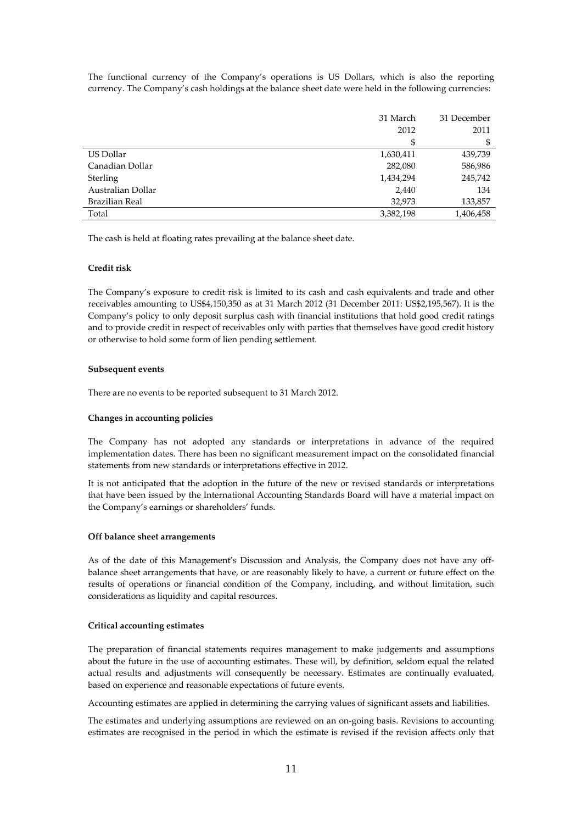The functional currency of the Company's operations is US Dollars, which is also the reporting currency. The Company's cash holdings at the balance sheet date were held in the following currencies:

|                   | 31 March  | 31 December |
|-------------------|-----------|-------------|
|                   | 2012      | 2011        |
|                   | \$        | \$          |
| US Dollar         | 1,630,411 | 439,739     |
| Canadian Dollar   | 282,080   | 586,986     |
| Sterling          | 1,434,294 | 245,742     |
| Australian Dollar | 2,440     | 134         |
| Brazilian Real    | 32,973    | 133,857     |
| Total             | 3,382,198 | 1,406,458   |

The cash is held at floating rates prevailing at the balance sheet date.

#### **Credit risk**

The Company's exposure to credit risk is limited to its cash and cash equivalents and trade and other receivables amounting to US\$4,150,350 as at 31 March 2012 (31 December 2011: US\$2,195,567). It is the Company's policy to only deposit surplus cash with financial institutions that hold good credit ratings and to provide credit in respect of receivables only with parties that themselves have good credit history or otherwise to hold some form of lien pending settlement.

## **Subsequent events**

There are no events to be reported subsequent to 31 March 2012.

## **Changes in accounting policies**

The Company has not adopted any standards or interpretations in advance of the required implementation dates. There has been no significant measurement impact on the consolidated financial statements from new standards or interpretations effective in 2012.

It is not anticipated that the adoption in the future of the new or revised standards or interpretations that have been issued by the International Accounting Standards Board will have a material impact on the Company's earnings or shareholders' funds.

#### **Off balance sheet arrangements**

As of the date of this Management's Discussion and Analysis, the Company does not have any offbalance sheet arrangements that have, or are reasonably likely to have, a current or future effect on the results of operations or financial condition of the Company, including, and without limitation, such considerations as liquidity and capital resources.

#### **Critical accounting estimates**

The preparation of financial statements requires management to make judgements and assumptions about the future in the use of accounting estimates. These will, by definition, seldom equal the related actual results and adjustments will consequently be necessary. Estimates are continually evaluated, based on experience and reasonable expectations of future events.

Accounting estimates are applied in determining the carrying values of significant assets and liabilities.

The estimates and underlying assumptions are reviewed on an on-going basis. Revisions to accounting estimates are recognised in the period in which the estimate is revised if the revision affects only that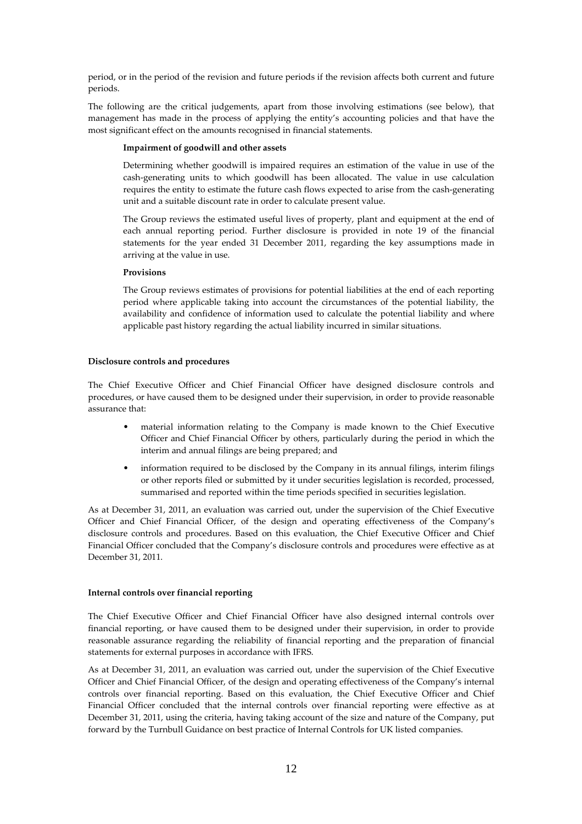period, or in the period of the revision and future periods if the revision affects both current and future periods.

The following are the critical judgements, apart from those involving estimations (see below), that management has made in the process of applying the entity's accounting policies and that have the most significant effect on the amounts recognised in financial statements.

## **Impairment of goodwill and other assets**

Determining whether goodwill is impaired requires an estimation of the value in use of the cash-generating units to which goodwill has been allocated. The value in use calculation requires the entity to estimate the future cash flows expected to arise from the cash-generating unit and a suitable discount rate in order to calculate present value.

The Group reviews the estimated useful lives of property, plant and equipment at the end of each annual reporting period. Further disclosure is provided in note 19 of the financial statements for the year ended 31 December 2011, regarding the key assumptions made in arriving at the value in use.

# **Provisions**

The Group reviews estimates of provisions for potential liabilities at the end of each reporting period where applicable taking into account the circumstances of the potential liability, the availability and confidence of information used to calculate the potential liability and where applicable past history regarding the actual liability incurred in similar situations.

#### **Disclosure controls and procedures**

The Chief Executive Officer and Chief Financial Officer have designed disclosure controls and procedures, or have caused them to be designed under their supervision, in order to provide reasonable assurance that:

- material information relating to the Company is made known to the Chief Executive Officer and Chief Financial Officer by others, particularly during the period in which the interim and annual filings are being prepared; and
- information required to be disclosed by the Company in its annual filings, interim filings or other reports filed or submitted by it under securities legislation is recorded, processed, summarised and reported within the time periods specified in securities legislation.

As at December 31, 2011, an evaluation was carried out, under the supervision of the Chief Executive Officer and Chief Financial Officer, of the design and operating effectiveness of the Company's disclosure controls and procedures. Based on this evaluation, the Chief Executive Officer and Chief Financial Officer concluded that the Company's disclosure controls and procedures were effective as at December 31, 2011.

#### **Internal controls over financial reporting**

The Chief Executive Officer and Chief Financial Officer have also designed internal controls over financial reporting, or have caused them to be designed under their supervision, in order to provide reasonable assurance regarding the reliability of financial reporting and the preparation of financial statements for external purposes in accordance with IFRS.

As at December 31, 2011, an evaluation was carried out, under the supervision of the Chief Executive Officer and Chief Financial Officer, of the design and operating effectiveness of the Company's internal controls over financial reporting. Based on this evaluation, the Chief Executive Officer and Chief Financial Officer concluded that the internal controls over financial reporting were effective as at December 31, 2011, using the criteria, having taking account of the size and nature of the Company, put forward by the Turnbull Guidance on best practice of Internal Controls for UK listed companies.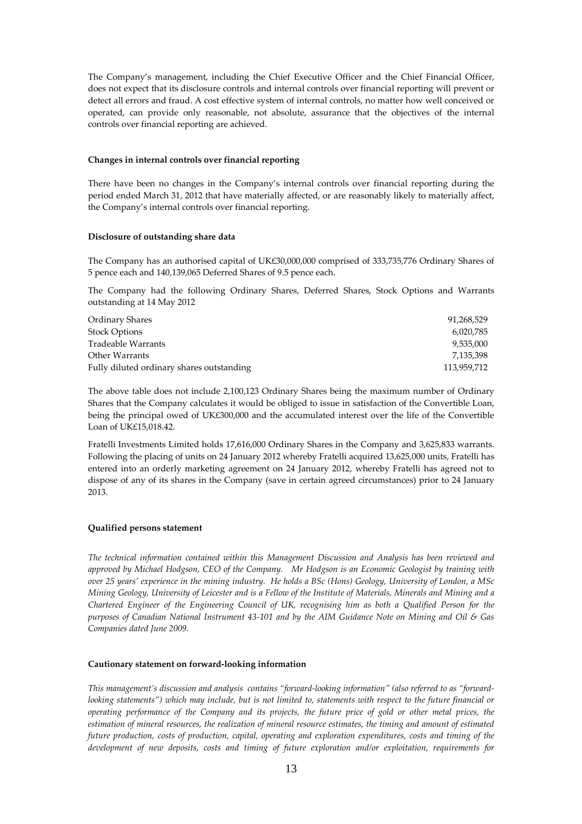The Company's management, including the Chief Executive Officer and the Chief Financial Officer, does not expect that its disclosure controls and internal controls over financial reporting will prevent or detect all errors and fraud. A cost effective system of internal controls, no matter how well conceived or operated, can provide only reasonable, not absolute, assurance that the objectives of the internal controls over financial reporting are achieved.

## **Changes in internal controls over financial reporting**

There have been no changes in the Company's internal controls over financial reporting during the period ended March 31, 2012 that have materially affected, or are reasonably likely to materially affect, the Company's internal controls over financial reporting.

## **Disclosure of outstanding share data**

The Company has an authorised capital of UK£30,000,000 comprised of 333,735,776 Ordinary Shares of 5 pence each and 140,139,065 Deferred Shares of 9.5 pence each.

The Company had the following Ordinary Shares, Deferred Shares, Stock Options and Warrants outstanding at 14 May 2012

| Ordinary Shares                           | 91,268,529  |
|-------------------------------------------|-------------|
| Stock Options                             | 6,020,785   |
| Tradeable Warrants                        | 9.535.000   |
| Other Warrants                            | 7.135.398   |
| Fully diluted ordinary shares outstanding | 113,959,712 |

The above table does not include 2,100,123 Ordinary Shares being the maximum number of Ordinary Shares that the Company calculates it would be obliged to issue in satisfaction of the Convertible Loan, being the principal owed of UK£300,000 and the accumulated interest over the life of the Convertible Loan of UK£15,018.42.

Fratelli Investments Limited holds 17,616,000 Ordinary Shares in the Company and 3,625,833 warrants. Following the placing of units on 24 January 2012 whereby Fratelli acquired 13,625,000 units, Fratelli has entered into an orderly marketing agreement on 24 January 2012, whereby Fratelli has agreed not to dispose of any of its shares in the Company (save in certain agreed circumstances) prior to 24 January 2013.

#### **Qualified persons statement**

*The technical information contained within this Management Discussion and Analysis has been reviewed and approved by Michael Hodgson, CEO of the Company. Mr Hodgson is an Economic Geologist by training with over 25 years' experience in the mining industry. He holds a BSc (Hons) Geology, University of London, a MSc Mining Geology, University of Leicester and is a Fellow of the Institute of Materials, Minerals and Mining and a Chartered Engineer of the Engineering Council of UK, recognising him as both a Qualified Person for the purposes of Canadian National Instrument 43-101 and by the AIM Guidance Note on Mining and Oil & Gas Companies dated June 2009.* 

#### **Cautionary statement on forward-looking information**

*This management's discussion and analysis contains "forward-looking information" (also referred to as "forwardlooking statements"*) which may include, but is not limited to, statements with respect to the future financial or *operating performance of the Company and its projects, the future price of gold or other metal prices, the estimation of mineral resources, the realization of mineral resource estimates, the timing and amount of estimated future production, costs of production, capital, operating and exploration expenditures, costs and timing of the development of new deposits, costs and timing of future exploration and/or exploitation, requirements for*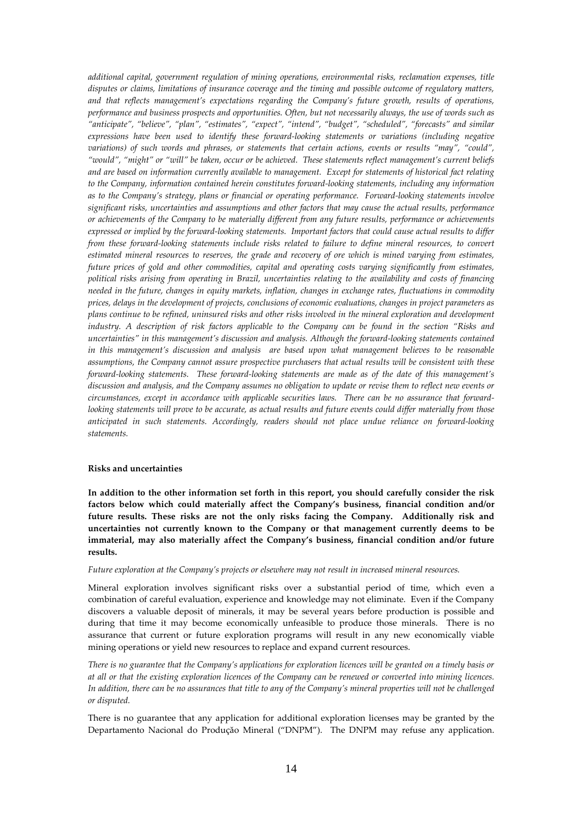*additional capital, government regulation of mining operations, environmental risks, reclamation expenses, title disputes or claims, limitations of insurance coverage and the timing and possible outcome of regulatory matters, and that reflects management's expectations regarding the Company's future growth, results of operations, performance and business prospects and opportunities. Often, but not necessarily always, the use of words such as "anticipate", "believe", "plan", "estimates", "expect", "intend", "budget", "scheduled", "forecasts" and similar expressions have been used to identify these forward-looking statements or variations (including negative variations) of such words and phrases, or statements that certain actions, events or results "may", "could", "would", "might" or "will" be taken, occur or be achieved. These statements reflect management's current beliefs and are based on information currently available to management. Except for statements of historical fact relating to the Company, information contained herein constitutes forward-looking statements, including any information as to the Company's strategy, plans or financial or operating performance. Forward-looking statements involve significant risks, uncertainties and assumptions and other factors that may cause the actual results, performance or achievements of the Company to be materially different from any future results, performance or achievements expressed or implied by the forward-looking statements. Important factors that could cause actual results to differ from these forward-looking statements include risks related to failure to define mineral resources, to convert estimated mineral resources to reserves, the grade and recovery of ore which is mined varying from estimates, future prices of gold and other commodities, capital and operating costs varying significantly from estimates, political risks arising from operating in Brazil, uncertainties relating to the availability and costs of financing needed in the future, changes in equity markets, inflation, changes in exchange rates, fluctuations in commodity prices, delays in the development of projects, conclusions of economic evaluations, changes in project parameters as plans continue to be refined, uninsured risks and other risks involved in the mineral exploration and development industry. A description of risk factors applicable to the Company can be found in the section "Risks and uncertainties" in this management's discussion and analysis. Although the forward-looking statements contained in this management's discussion and analysis are based upon what management believes to be reasonable assumptions, the Company cannot assure prospective purchasers that actual results will be consistent with these forward-looking statements. These forward-looking statements are made as of the date of this management's discussion and analysis, and the Company assumes no obligation to update or revise them to reflect new events or circumstances, except in accordance with applicable securities laws. There can be no assurance that forwardlooking statements will prove to be accurate, as actual results and future events could differ materially from those anticipated in such statements. Accordingly, readers should not place undue reliance on forward-looking statements.*

### **Risks and uncertainties**

**In addition to the other information set forth in this report, you should carefully consider the risk factors below which could materially affect the Company's business, financial condition and/or future results. These risks are not the only risks facing the Company. Additionally risk and uncertainties not currently known to the Company or that management currently deems to be immaterial, may also materially affect the Company's business, financial condition and/or future results.** 

#### *Future exploration at the Company's projects or elsewhere may not result in increased mineral resources.*

Mineral exploration involves significant risks over a substantial period of time, which even a combination of careful evaluation, experience and knowledge may not eliminate. Even if the Company discovers a valuable deposit of minerals, it may be several years before production is possible and during that time it may become economically unfeasible to produce those minerals. There is no assurance that current or future exploration programs will result in any new economically viable mining operations or yield new resources to replace and expand current resources.

*There is no guarantee that the Company's applications for exploration licences will be granted on a timely basis or at all or that the existing exploration licences of the Company can be renewed or converted into mining licences. In addition, there can be no assurances that title to any of the Company's mineral properties will not be challenged or disputed.* 

There is no guarantee that any application for additional exploration licenses may be granted by the Departamento Nacional do Produçăo Mineral ("DNPM"). The DNPM may refuse any application.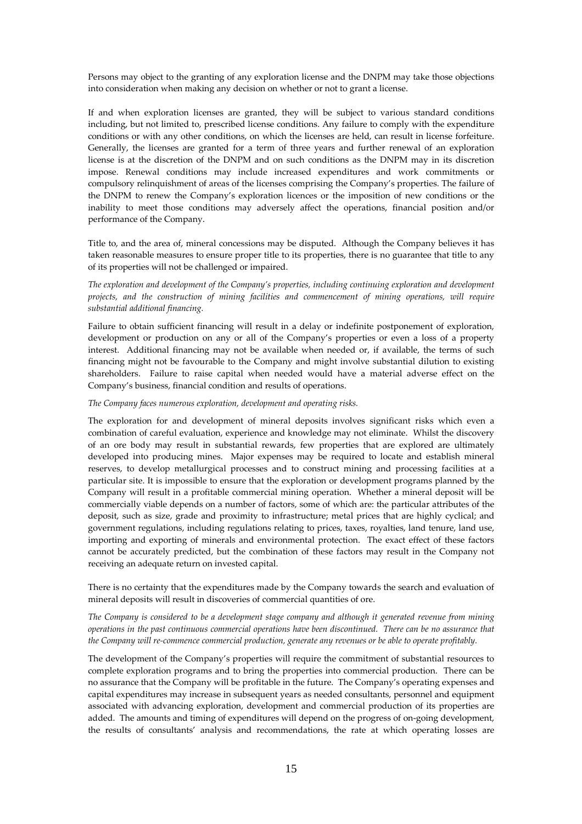Persons may object to the granting of any exploration license and the DNPM may take those objections into consideration when making any decision on whether or not to grant a license.

If and when exploration licenses are granted, they will be subject to various standard conditions including, but not limited to, prescribed license conditions. Any failure to comply with the expenditure conditions or with any other conditions, on which the licenses are held, can result in license forfeiture. Generally, the licenses are granted for a term of three years and further renewal of an exploration license is at the discretion of the DNPM and on such conditions as the DNPM may in its discretion impose. Renewal conditions may include increased expenditures and work commitments or compulsory relinquishment of areas of the licenses comprising the Company's properties. The failure of the DNPM to renew the Company's exploration licences or the imposition of new conditions or the inability to meet those conditions may adversely affect the operations, financial position and/or performance of the Company.

Title to, and the area of, mineral concessions may be disputed. Although the Company believes it has taken reasonable measures to ensure proper title to its properties, there is no guarantee that title to any of its properties will not be challenged or impaired.

*The exploration and development of the Company's properties, including continuing exploration and development projects, and the construction of mining facilities and commencement of mining operations, will require substantial additional financing.* 

Failure to obtain sufficient financing will result in a delay or indefinite postponement of exploration, development or production on any or all of the Company's properties or even a loss of a property interest. Additional financing may not be available when needed or, if available, the terms of such financing might not be favourable to the Company and might involve substantial dilution to existing shareholders. Failure to raise capital when needed would have a material adverse effect on the Company's business, financial condition and results of operations.

#### *The Company faces numerous exploration, development and operating risks.*

The exploration for and development of mineral deposits involves significant risks which even a combination of careful evaluation, experience and knowledge may not eliminate. Whilst the discovery of an ore body may result in substantial rewards, few properties that are explored are ultimately developed into producing mines. Major expenses may be required to locate and establish mineral reserves, to develop metallurgical processes and to construct mining and processing facilities at a particular site. It is impossible to ensure that the exploration or development programs planned by the Company will result in a profitable commercial mining operation. Whether a mineral deposit will be commercially viable depends on a number of factors, some of which are: the particular attributes of the deposit, such as size, grade and proximity to infrastructure; metal prices that are highly cyclical; and government regulations, including regulations relating to prices, taxes, royalties, land tenure, land use, importing and exporting of minerals and environmental protection. The exact effect of these factors cannot be accurately predicted, but the combination of these factors may result in the Company not receiving an adequate return on invested capital.

There is no certainty that the expenditures made by the Company towards the search and evaluation of mineral deposits will result in discoveries of commercial quantities of ore.

# *The Company is considered to be a development stage company and although it generated revenue from mining operations in the past continuous commercial operations have been discontinued. There can be no assurance that the Company will re-commence commercial production, generate any revenues or be able to operate profitably.*

The development of the Company's properties will require the commitment of substantial resources to complete exploration programs and to bring the properties into commercial production. There can be no assurance that the Company will be profitable in the future. The Company's operating expenses and capital expenditures may increase in subsequent years as needed consultants, personnel and equipment associated with advancing exploration, development and commercial production of its properties are added. The amounts and timing of expenditures will depend on the progress of on-going development, the results of consultants' analysis and recommendations, the rate at which operating losses are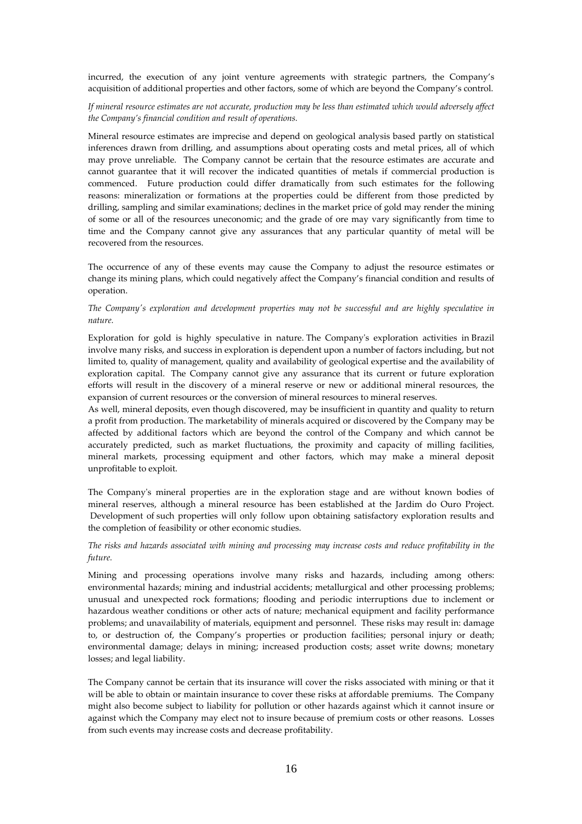incurred, the execution of any joint venture agreements with strategic partners, the Company's acquisition of additional properties and other factors, some of which are beyond the Company's control.

# *If mineral resource estimates are not accurate, production may be less than estimated which would adversely affect the Company's financial condition and result of operations.*

Mineral resource estimates are imprecise and depend on geological analysis based partly on statistical inferences drawn from drilling, and assumptions about operating costs and metal prices, all of which may prove unreliable. The Company cannot be certain that the resource estimates are accurate and cannot guarantee that it will recover the indicated quantities of metals if commercial production is commenced. Future production could differ dramatically from such estimates for the following reasons: mineralization or formations at the properties could be different from those predicted by drilling, sampling and similar examinations; declines in the market price of gold may render the mining of some or all of the resources uneconomic; and the grade of ore may vary significantly from time to time and the Company cannot give any assurances that any particular quantity of metal will be recovered from the resources.

The occurrence of any of these events may cause the Company to adjust the resource estimates or change its mining plans, which could negatively affect the Company's financial condition and results of operation.

# *The Company's exploration and development properties may not be successful and are highly speculative in nature.*

Exploration for gold is highly speculative in nature. The Company's exploration activities in Brazil involve many risks, and success in exploration is dependent upon a number of factors including, but not limited to, quality of management, quality and availability of geological expertise and the availability of exploration capital. The Company cannot give any assurance that its current or future exploration efforts will result in the discovery of a mineral reserve or new or additional mineral resources, the expansion of current resources or the conversion of mineral resources to mineral reserves.

As well, mineral deposits, even though discovered, may be insufficient in quantity and quality to return a profit from production. The marketability of minerals acquired or discovered by the Company may be affected by additional factors which are beyond the control of the Company and which cannot be accurately predicted, such as market fluctuations, the proximity and capacity of milling facilities, mineral markets, processing equipment and other factors, which may make a mineral deposit unprofitable to exploit.

The Company's mineral properties are in the exploration stage and are without known bodies of mineral reserves, although a mineral resource has been established at the Jardim do Ouro Project. Development of such properties will only follow upon obtaining satisfactory exploration results and the completion of feasibility or other economic studies.

# *The risks and hazards associated with mining and processing may increase costs and reduce profitability in the future.*

Mining and processing operations involve many risks and hazards, including among others: environmental hazards; mining and industrial accidents; metallurgical and other processing problems; unusual and unexpected rock formations; flooding and periodic interruptions due to inclement or hazardous weather conditions or other acts of nature; mechanical equipment and facility performance problems; and unavailability of materials, equipment and personnel. These risks may result in: damage to, or destruction of, the Company's properties or production facilities; personal injury or death; environmental damage; delays in mining; increased production costs; asset write downs; monetary losses; and legal liability.

The Company cannot be certain that its insurance will cover the risks associated with mining or that it will be able to obtain or maintain insurance to cover these risks at affordable premiums. The Company might also become subject to liability for pollution or other hazards against which it cannot insure or against which the Company may elect not to insure because of premium costs or other reasons. Losses from such events may increase costs and decrease profitability.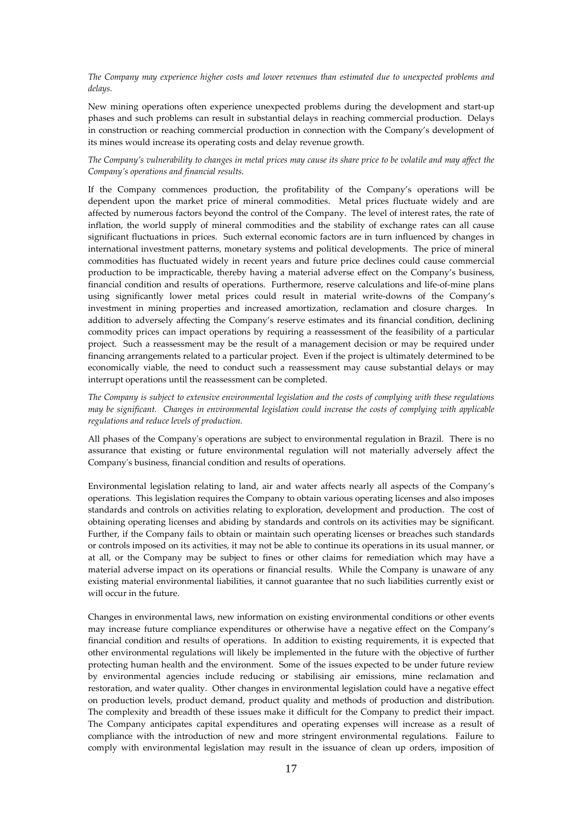*The Company may experience higher costs and lower revenues than estimated due to unexpected problems and delays.* 

New mining operations often experience unexpected problems during the development and start-up phases and such problems can result in substantial delays in reaching commercial production. Delays in construction or reaching commercial production in connection with the Company's development of its mines would increase its operating costs and delay revenue growth.

*The Company's vulnerability to changes in metal prices may cause its share price to be volatile and may affect the Company's operations and financial results.* 

If the Company commences production, the profitability of the Company's operations will be dependent upon the market price of mineral commodities. Metal prices fluctuate widely and are affected by numerous factors beyond the control of the Company. The level of interest rates, the rate of inflation, the world supply of mineral commodities and the stability of exchange rates can all cause significant fluctuations in prices. Such external economic factors are in turn influenced by changes in international investment patterns, monetary systems and political developments. The price of mineral commodities has fluctuated widely in recent years and future price declines could cause commercial production to be impracticable, thereby having a material adverse effect on the Company's business, financial condition and results of operations. Furthermore, reserve calculations and life-of-mine plans using significantly lower metal prices could result in material write-downs of the Company's investment in mining properties and increased amortization, reclamation and closure charges. In addition to adversely affecting the Company's reserve estimates and its financial condition, declining commodity prices can impact operations by requiring a reassessment of the feasibility of a particular project. Such a reassessment may be the result of a management decision or may be required under financing arrangements related to a particular project. Even if the project is ultimately determined to be economically viable, the need to conduct such a reassessment may cause substantial delays or may interrupt operations until the reassessment can be completed.

*The Company is subject to extensive environmental legislation and the costs of complying with these regulations may be significant. Changes in environmental legislation could increase the costs of complying with applicable regulations and reduce levels of production.* 

All phases of the Company's operations are subject to environmental regulation in Brazil. There is no assurance that existing or future environmental regulation will not materially adversely affect the Company's business, financial condition and results of operations.

Environmental legislation relating to land, air and water affects nearly all aspects of the Company's operations. This legislation requires the Company to obtain various operating licenses and also imposes standards and controls on activities relating to exploration, development and production. The cost of obtaining operating licenses and abiding by standards and controls on its activities may be significant. Further, if the Company fails to obtain or maintain such operating licenses or breaches such standards or controls imposed on its activities, it may not be able to continue its operations in its usual manner, or at all, or the Company may be subject to fines or other claims for remediation which may have a material adverse impact on its operations or financial results. While the Company is unaware of any existing material environmental liabilities, it cannot guarantee that no such liabilities currently exist or will occur in the future.

Changes in environmental laws, new information on existing environmental conditions or other events may increase future compliance expenditures or otherwise have a negative effect on the Company's financial condition and results of operations. In addition to existing requirements, it is expected that other environmental regulations will likely be implemented in the future with the objective of further protecting human health and the environment. Some of the issues expected to be under future review by environmental agencies include reducing or stabilising air emissions, mine reclamation and restoration, and water quality. Other changes in environmental legislation could have a negative effect on production levels, product demand, product quality and methods of production and distribution. The complexity and breadth of these issues make it difficult for the Company to predict their impact. The Company anticipates capital expenditures and operating expenses will increase as a result of compliance with the introduction of new and more stringent environmental regulations. Failure to comply with environmental legislation may result in the issuance of clean up orders, imposition of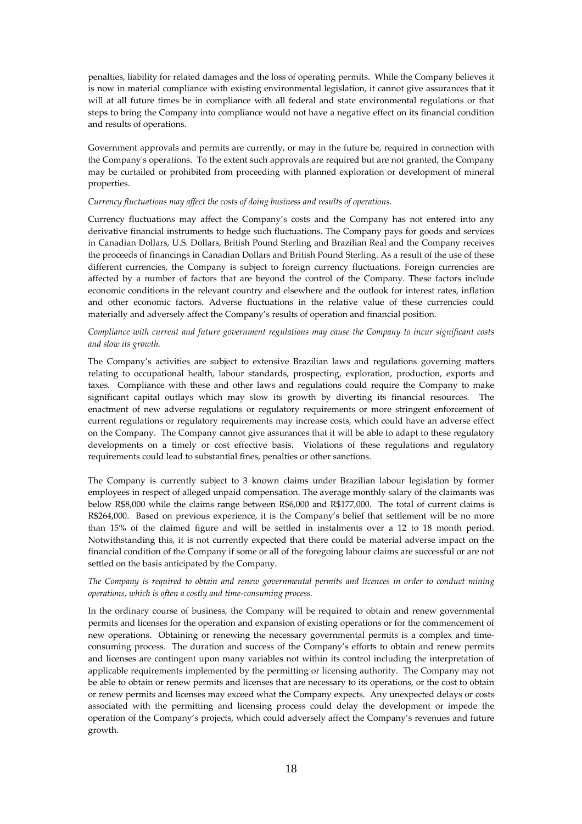penalties, liability for related damages and the loss of operating permits. While the Company believes it is now in material compliance with existing environmental legislation, it cannot give assurances that it will at all future times be in compliance with all federal and state environmental regulations or that steps to bring the Company into compliance would not have a negative effect on its financial condition and results of operations.

Government approvals and permits are currently, or may in the future be, required in connection with the Company's operations. To the extent such approvals are required but are not granted, the Company may be curtailed or prohibited from proceeding with planned exploration or development of mineral properties.

## *Currency fluctuations may affect the costs of doing business and results of operations.*

Currency fluctuations may affect the Company's costs and the Company has not entered into any derivative financial instruments to hedge such fluctuations. The Company pays for goods and services in Canadian Dollars, U.S. Dollars, British Pound Sterling and Brazilian Real and the Company receives the proceeds of financings in Canadian Dollars and British Pound Sterling. As a result of the use of these different currencies, the Company is subject to foreign currency fluctuations. Foreign currencies are affected by a number of factors that are beyond the control of the Company. These factors include economic conditions in the relevant country and elsewhere and the outlook for interest rates, inflation and other economic factors. Adverse fluctuations in the relative value of these currencies could materially and adversely affect the Company's results of operation and financial position.

# *Compliance with current and future government regulations may cause the Company to incur significant costs and slow its growth.*

The Company's activities are subject to extensive Brazilian laws and regulations governing matters relating to occupational health, labour standards, prospecting, exploration, production, exports and taxes. Compliance with these and other laws and regulations could require the Company to make significant capital outlays which may slow its growth by diverting its financial resources. The enactment of new adverse regulations or regulatory requirements or more stringent enforcement of current regulations or regulatory requirements may increase costs, which could have an adverse effect on the Company. The Company cannot give assurances that it will be able to adapt to these regulatory developments on a timely or cost effective basis. Violations of these regulations and regulatory requirements could lead to substantial fines, penalties or other sanctions.

The Company is currently subject to 3 known claims under Brazilian labour legislation by former employees in respect of alleged unpaid compensation. The average monthly salary of the claimants was below R\$8,000 while the claims range between R\$6,000 and R\$177,000. The total of current claims is R\$264,000. Based on previous experience, it is the Company's belief that settlement will be no more than 15% of the claimed figure and will be settled in instalments over a 12 to 18 month period. Notwithstanding this, it is not currently expected that there could be material adverse impact on the financial condition of the Company if some or all of the foregoing labour claims are successful or are not settled on the basis anticipated by the Company.

# *The Company is required to obtain and renew governmental permits and licences in order to conduct mining operations, which is often a costly and time-consuming process.*

In the ordinary course of business, the Company will be required to obtain and renew governmental permits and licenses for the operation and expansion of existing operations or for the commencement of new operations. Obtaining or renewing the necessary governmental permits is a complex and timeconsuming process. The duration and success of the Company's efforts to obtain and renew permits and licenses are contingent upon many variables not within its control including the interpretation of applicable requirements implemented by the permitting or licensing authority. The Company may not be able to obtain or renew permits and licenses that are necessary to its operations, or the cost to obtain or renew permits and licenses may exceed what the Company expects. Any unexpected delays or costs associated with the permitting and licensing process could delay the development or impede the operation of the Company's projects, which could adversely affect the Company's revenues and future growth.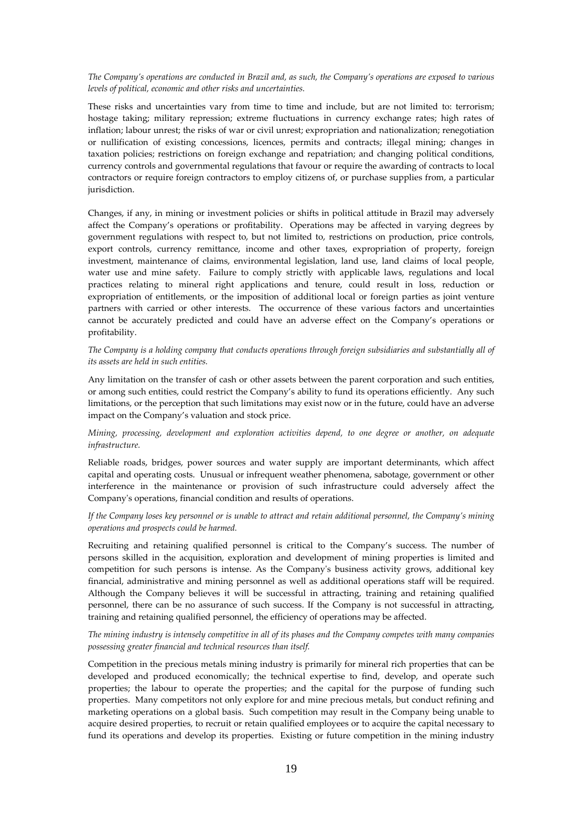## *The Company's operations are conducted in Brazil and, as such, the Company's operations are exposed to various levels of political, economic and other risks and uncertainties.*

These risks and uncertainties vary from time to time and include, but are not limited to: terrorism; hostage taking; military repression; extreme fluctuations in currency exchange rates; high rates of inflation; labour unrest; the risks of war or civil unrest; expropriation and nationalization; renegotiation or nullification of existing concessions, licences, permits and contracts; illegal mining; changes in taxation policies; restrictions on foreign exchange and repatriation; and changing political conditions, currency controls and governmental regulations that favour or require the awarding of contracts to local contractors or require foreign contractors to employ citizens of, or purchase supplies from, a particular jurisdiction.

Changes, if any, in mining or investment policies or shifts in political attitude in Brazil may adversely affect the Company's operations or profitability. Operations may be affected in varying degrees by government regulations with respect to, but not limited to, restrictions on production, price controls, export controls, currency remittance, income and other taxes, expropriation of property, foreign investment, maintenance of claims, environmental legislation, land use, land claims of local people, water use and mine safety. Failure to comply strictly with applicable laws, regulations and local practices relating to mineral right applications and tenure, could result in loss, reduction or expropriation of entitlements, or the imposition of additional local or foreign parties as joint venture partners with carried or other interests. The occurrence of these various factors and uncertainties cannot be accurately predicted and could have an adverse effect on the Company's operations or profitability.

*The Company is a holding company that conducts operations through foreign subsidiaries and substantially all of its assets are held in such entities.* 

Any limitation on the transfer of cash or other assets between the parent corporation and such entities, or among such entities, could restrict the Company's ability to fund its operations efficiently. Any such limitations, or the perception that such limitations may exist now or in the future, could have an adverse impact on the Company's valuation and stock price.

*Mining, processing, development and exploration activities depend, to one degree or another, on adequate infrastructure.* 

Reliable roads, bridges, power sources and water supply are important determinants, which affect capital and operating costs. Unusual or infrequent weather phenomena, sabotage, government or other interference in the maintenance or provision of such infrastructure could adversely affect the Company's operations, financial condition and results of operations.

*If the Company loses key personnel or is unable to attract and retain additional personnel, the Company's mining operations and prospects could be harmed.* 

Recruiting and retaining qualified personnel is critical to the Company's success. The number of persons skilled in the acquisition, exploration and development of mining properties is limited and competition for such persons is intense. As the Company's business activity grows, additional key financial, administrative and mining personnel as well as additional operations staff will be required. Although the Company believes it will be successful in attracting, training and retaining qualified personnel, there can be no assurance of such success. If the Company is not successful in attracting, training and retaining qualified personnel, the efficiency of operations may be affected.

*The mining industry is intensely competitive in all of its phases and the Company competes with many companies possessing greater financial and technical resources than itself.* 

Competition in the precious metals mining industry is primarily for mineral rich properties that can be developed and produced economically; the technical expertise to find, develop, and operate such properties; the labour to operate the properties; and the capital for the purpose of funding such properties. Many competitors not only explore for and mine precious metals, but conduct refining and marketing operations on a global basis. Such competition may result in the Company being unable to acquire desired properties, to recruit or retain qualified employees or to acquire the capital necessary to fund its operations and develop its properties. Existing or future competition in the mining industry